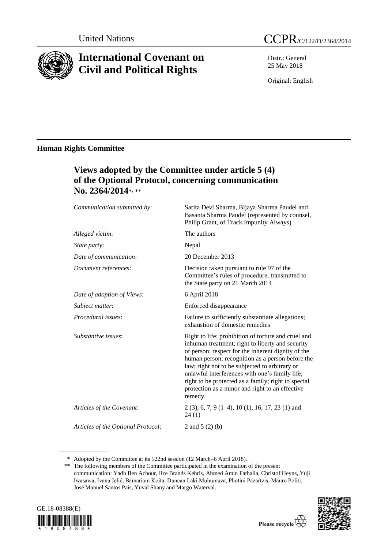

# **International Covenant on Civil and Political Rights**



Distr.: General 25 May 2018

Original: English

### **Human Rights Committee**

## **Views adopted by the Committee under article 5 (4) of the Optional Protocol, concerning communication No. 2364/2014**\* , \*\*

| Communication submitted by:        | Sarita Devi Sharma, Bijaya Sharma Paudel and<br>Basanta Sharma Paudel (represented by counsel,<br>Philip Grant, of Track Impunity Always)                                                                                                                                                                                                                                                                                                  |
|------------------------------------|--------------------------------------------------------------------------------------------------------------------------------------------------------------------------------------------------------------------------------------------------------------------------------------------------------------------------------------------------------------------------------------------------------------------------------------------|
| Alleged victim:                    | The authors                                                                                                                                                                                                                                                                                                                                                                                                                                |
| State party:                       | Nepal                                                                                                                                                                                                                                                                                                                                                                                                                                      |
| Date of communication:             | 20 December 2013                                                                                                                                                                                                                                                                                                                                                                                                                           |
| Document references:               | Decision taken pursuant to rule 97 of the<br>Committee's rules of procedure, transmitted to<br>the State party on 21 March 2014                                                                                                                                                                                                                                                                                                            |
| Date of adoption of Views:         | 6 April 2018                                                                                                                                                                                                                                                                                                                                                                                                                               |
| Subject matter:                    | Enforced disappearance                                                                                                                                                                                                                                                                                                                                                                                                                     |
| Procedural issues:                 | Failure to sufficiently substantiate allegations;<br>exhaustion of domestic remedies                                                                                                                                                                                                                                                                                                                                                       |
| Substantive issues:                | Right to life; prohibition of torture and cruel and<br>inhuman treatment; right to liberty and security<br>of person; respect for the inherent dignity of the<br>human person; recognition as a person before the<br>law; right not to be subjected to arbitrary or<br>unlawful interferences with one's family life;<br>right to be protected as a family; right to special<br>protection as a minor and right to an effective<br>remedy. |
| Articles of the Covenant:          | $2(3)$ , 6, 7, 9 (1–4), 10 (1), 16, 17, 23 (1) and<br>24(1)                                                                                                                                                                                                                                                                                                                                                                                |
| Articles of the Optional Protocol: | 2 and $5(2)(b)$                                                                                                                                                                                                                                                                                                                                                                                                                            |
|                                    |                                                                                                                                                                                                                                                                                                                                                                                                                                            |

<sup>\*</sup> Adopted by the Committee at its 122nd session (12 March–6 April 2018).

<sup>\*\*</sup> The following members of the Committee participated in the examination of the present communication: Yadh Ben Achour, Ilze Brands Kehris, Ahmed Amin Fathalla, Christof Heyns, Yuji Iwasawa, Ivana Jelić, Bamariam Koita, Duncan Laki Muhumuza, Photini Pazartzis, Mauro Politi, José Manuel Santos Pais, Yuval Shany and Margo Waterval.



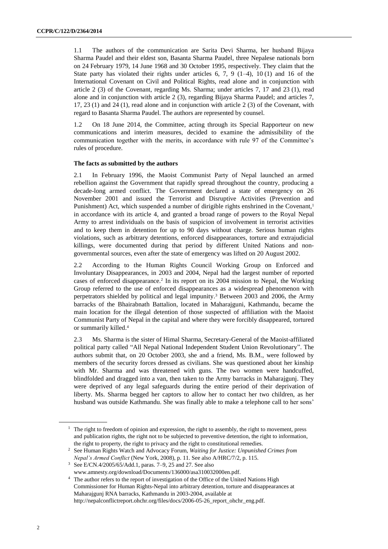1.1 The authors of the communication are Sarita Devi Sharma, her husband Bijaya Sharma Paudel and their eldest son, Basanta Sharma Paudel, three Nepalese nationals born on 24 February 1979, 14 June 1968 and 30 October 1995, respectively. They claim that the State party has violated their rights under articles  $6, 7, 9$   $(1-4), 10$   $(1)$  and 16 of the International Covenant on Civil and Political Rights, read alone and in conjunction with article 2 (3) of the Covenant, regarding Ms. Sharma; under articles 7, 17 and 23 (1), read alone and in conjunction with article 2 (3), regarding Bijaya Sharma Paudel; and articles 7, 17, 23 (1) and 24 (1), read alone and in conjunction with article 2 (3) of the Covenant, with regard to Basanta Sharma Paudel. The authors are represented by counsel.

1.2 On 18 June 2014, the Committee, acting through its Special Rapporteur on new communications and interim measures, decided to examine the admissibility of the communication together with the merits, in accordance with rule 97 of the Committee's rules of procedure.

#### **The facts as submitted by the authors**

2.1 In February 1996, the Maoist Communist Party of Nepal launched an armed rebellion against the Government that rapidly spread throughout the country, producing a decade-long armed conflict. The Government declared a state of emergency on 26 November 2001 and issued the Terrorist and Disruptive Activities (Prevention and Punishment) Act, which suspended a number of dirigible rights enshrined in the Covenant, 1 in accordance with its article 4, and granted a broad range of powers to the Royal Nepal Army to arrest individuals on the basis of suspicion of involvement in terrorist activities and to keep them in detention for up to 90 days without charge. Serious human rights violations, such as arbitrary detentions, enforced disappearances, torture and extrajudicial killings, were documented during that period by different United Nations and nongovernmental sources, even after the state of emergency was lifted on 20 August 2002.

2.2 According to the Human Rights Council Working Group on Enforced and Involuntary Disappearances, in 2003 and 2004, Nepal had the largest number of reported cases of enforced disappearance.<sup>2</sup> In its report on its 2004 mission to Nepal, the Working Group referred to the use of enforced disappearances as a widespread phenomenon with perpetrators shielded by political and legal impunity. <sup>3</sup> Between 2003 and 2006, the Army barracks of the Bhairabnath Battalion, located in Maharajguni, Kathmandu, became the main location for the illegal detention of those suspected of affiliation with the Maoist Communist Party of Nepal in the capital and where they were forcibly disappeared, tortured or summarily killed. 4

2.3 Ms. Sharma is the sister of Himal Sharma, Secretary-General of the Maoist-affiliated political party called "All Nepal National Independent Student Union Revolutionary". The authors submit that, on 20 October 2003, she and a friend, Ms. B.M., were followed by members of the security forces dressed as civilians. She was questioned about her kinship with Mr. Sharma and was threatened with guns. The two women were handcuffed, blindfolded and dragged into a van, then taken to the Army barracks in Maharajgunj. They were deprived of any legal safeguards during the entire period of their deprivation of liberty. Ms. Sharma begged her captors to allow her to contact her two children, as her husband was outside Kathmandu. She was finally able to make a telephone call to her sons'

 $1$  The right to freedom of opinion and expression, the right to assembly, the right to movement, press and publication rights, the right not to be subjected to preventive detention, the right to information, the right to property, the right to privacy and the right to constitutional remedies.

<sup>2</sup> See Human Rights Watch and Advocacy Forum, *Waiting for Justice: Unpunished Crimes from Nepal's Armed Conflict* (New York, 2008), p. 11. See also A/HRC/7/2, p. 115.

<sup>3</sup> See E/CN.4/2005/65/Add.1, paras. 7–9, 25 and 27. See also

[www.amnesty.org/download/Documents/136000/asa310032000en.pdf.](http://www.amnesty.org/download/Documents/136000/asa310032000en.pdf) 

<sup>4</sup> The author refers to the report of investigation of the Office of the United Nations High Commissioner for Human Rights-Nepal into arbitrary detention, torture and disappearances at Maharajgunj RNA barracks, Kathmandu in 2003-2004, available at http://nepalconflictreport.ohchr.org/files/docs/2006-05-26\_report\_ohchr\_eng.pdf.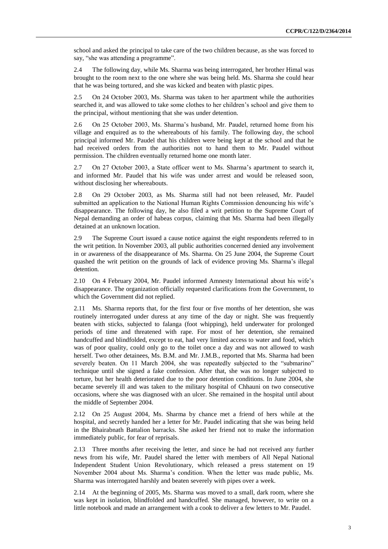school and asked the principal to take care of the two children because, as she was forced to say, "she was attending a programme".

2.4 The following day, while Ms. Sharma was being interrogated, her brother Himal was brought to the room next to the one where she was being held. Ms. Sharma she could hear that he was being tortured, and she was kicked and beaten with plastic pipes.

2.5 On 24 October 2003, Ms. Sharma was taken to her apartment while the authorities searched it, and was allowed to take some clothes to her children's school and give them to the principal, without mentioning that she was under detention.

2.6 On 25 October 2003, Ms. Sharma's husband, Mr. Paudel, returned home from his village and enquired as to the whereabouts of his family. The following day, the school principal informed Mr. Paudel that his children were being kept at the school and that he had received orders from the authorities not to hand them to Mr. Paudel without permission. The children eventually returned home one month later.

2.7 On 27 October 2003, a State officer went to Ms. Sharma's apartment to search it, and informed Mr. Paudel that his wife was under arrest and would be released soon, without disclosing her whereabouts.

2.8 On 29 October 2003, as Ms. Sharma still had not been released, Mr. Paudel submitted an application to the National Human Rights Commission denouncing his wife's disappearance. The following day, he also filed a writ petition to the Supreme Court of Nepal demanding an order of habeas corpus, claiming that Ms. Sharma had been illegally detained at an unknown location.

2.9 The Supreme Court issued a cause notice against the eight respondents referred to in the writ petition. In November 2003, all public authorities concerned denied any involvement in or awareness of the disappearance of Ms. Sharma. On 25 June 2004, the Supreme Court quashed the writ petition on the grounds of lack of evidence proving Ms. Sharma's illegal detention.

2.10 On 4 February 2004, Mr. Paudel informed Amnesty International about his wife's disappearance. The organization officially requested clarifications from the Government, to which the Government did not replied.

2.11 Ms. Sharma reports that, for the first four or five months of her detention, she was routinely interrogated under duress at any time of the day or night. She was frequently beaten with sticks, subjected to falanga (foot whipping), held underwater for prolonged periods of time and threatened with rape. For most of her detention, she remained handcuffed and blindfolded, except to eat, had very limited access to water and food, which was of poor quality, could only go to the toilet once a day and was not allowed to wash herself. Two other detainees, Ms. B.M. and Mr. J.M.B., reported that Ms. Sharma had been severely beaten. On 11 March 2004, she was repeatedly subjected to the "submarino" technique until she signed a fake confession. After that, she was no longer subjected to torture, but her health deteriorated due to the poor detention conditions. In June 2004, she became severely ill and was taken to the military hospital of Chhauni on two consecutive occasions, where she was diagnosed with an ulcer. She remained in the hospital until about the middle of September 2004.

2.12 On 25 August 2004, Ms. Sharma by chance met a friend of hers while at the hospital, and secretly handed her a letter for Mr. Paudel indicating that she was being held in the Bhairabnath Battalion barracks. She asked her friend not to make the information immediately public, for fear of reprisals.

2.13 Three months after receiving the letter, and since he had not received any further news from his wife, Mr. Paudel shared the letter with members of All Nepal National Independent Student Union Revolutionary, which released a press statement on 19 November 2004 about Ms. Sharma's condition. When the letter was made public, Ms. Sharma was interrogated harshly and beaten severely with pipes over a week.

2.14 At the beginning of 2005, Ms. Sharma was moved to a small, dark room, where she was kept in isolation, blindfolded and handcuffed. She managed, however, to write on a little notebook and made an arrangement with a cook to deliver a few letters to Mr. Paudel.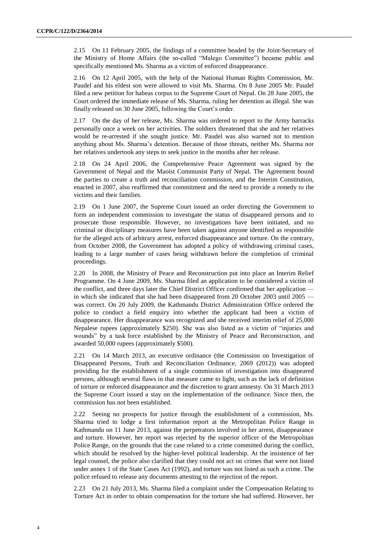2.15 On 11 February 2005, the findings of a committee headed by the Joint-Secretary of the Ministry of Home Affairs (the so-called "Malego Committee") became public and specifically mentioned Ms. Sharma as a victim of enforced disappearance.

2.16 On 12 April 2005, with the help of the National Human Rights Commission, Mr. Paudel and his eldest son were allowed to visit Ms. Sharma. On 8 June 2005 Mr. Paudel filed a new petition for habeas corpus to the Supreme Court of Nepal. On 28 June 2005, the Court ordered the immediate release of Ms. Sharma, ruling her detention as illegal. She was finally released on 30 June 2005, following the Court's order.

2.17 On the day of her release, Ms. Sharma was ordered to report to the Army barracks personally once a week on her activities. The soldiers threatened that she and her relatives would be re-arrested if she sought justice. Mr. Paudel was also warned not to mention anything about Ms. Sharma's detention. Because of those threats, neither Ms. Sharma nor her relatives undertook any steps to seek justice in the months after her release.

2.18 On 24 April 2006, the Comprehensive Peace Agreement was signed by the Government of Nepal and the Maoist Communist Party of Nepal. The Agreement bound the parties to create a truth and reconciliation commission, and the Interim Constitution, enacted in 2007, also reaffirmed that commitment and the need to provide a remedy to the victims and their families.

2.19 On 1 June 2007, the Supreme Court issued an order directing the Government to form an independent commission to investigate the status of disappeared persons and to prosecute those responsible. However, no investigations have been initiated, and no criminal or disciplinary measures have been taken against anyone identified as responsible for the alleged acts of arbitrary arrest, enforced disappearance and torture. On the contrary, from October 2008, the Government has adopted a policy of withdrawing criminal cases, leading to a large number of cases being withdrawn before the completion of criminal proceedings.

2.20 In 2008, the Ministry of Peace and Reconstruction put into place an Interim Relief Programme. On 4 June 2009, Ms. Sharma filed an application to be considered a victim of the conflict, and three days later the Chief District Officer confirmed that her application in which she indicated that she had been disappeared from 20 October 2003 until 2005 was correct. On 20 July 2009, the Kathmandu District Administration Office ordered the police to conduct a field enquiry into whether the applicant had been a victim of disappearance. Her disappearance was recognized and she received interim relief of 25,000 Nepalese rupees (approximately \$250). She was also listed as a victim of "injuries and wounds" by a task force established by the Ministry of Peace and Reconstruction, and awarded 50,000 rupees (approximately \$500).

2.21 On 14 March 2013, an executive ordinance (the Commission on Investigation of Disappeared Persons, Truth and Reconciliation Ordinance, 2069 (2012)) was adopted providing for the establishment of a single commission of investigation into disappeared persons, although several flaws in that measure came to light, such as the lack of definition of torture or enforced disappearance and the discretion to grant amnesty. On 31 March 2013 the Supreme Court issued a stay on the implementation of the ordinance. Since then, the commission has not been established.

2.22 Seeing no prospects for justice through the establishment of a commission, Ms. Sharma tried to lodge a first information report at the Metropolitan Police Range in Kathmandu on 11 June 2013, against the perpetrators involved in her arrest, disappearance and torture. However, her report was rejected by the superior officer of the Metropolitan Police Range, on the grounds that the case related to a crime committed during the conflict, which should be resolved by the higher-level political leadership. At the insistence of her legal counsel, the police also clarified that they could not act on crimes that were not listed under annex 1 of the State Cases Act (1992), and torture was not listed as such a crime. The police refused to release any documents attesting to the rejection of the report.

2.23 On 21 July 2013, Ms. Sharma filed a complaint under the Compensation Relating to Torture Act in order to obtain compensation for the torture she had suffered. However, her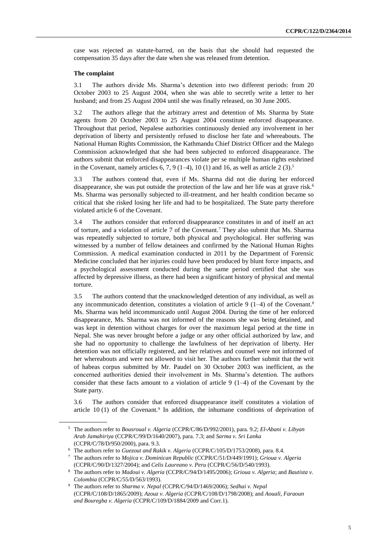case was rejected as statute-barred, on the basis that she should had requested the compensation 35 days after the date when she was released from detention.

#### **The complaint**

3.1 The authors divide Ms. Sharma's detention into two different periods: from 20 October 2003 to 25 August 2004, when she was able to secretly write a letter to her husband; and from 25 August 2004 until she was finally released, on 30 June 2005.

3.2 The authors allege that the arbitrary arrest and detention of Ms. Sharma by State agents from 20 October 2003 to 25 August 2004 constitute enforced disappearance. Throughout that period, Nepalese authorities continuously denied any involvement in her deprivation of liberty and persistently refused to disclose her fate and whereabouts. The National Human Rights Commission, the Kathmandu Chief District Officer and the Malego Commission acknowledged that she had been subjected to enforced disappearance. The authors submit that enforced disappearances violate per se multiple human rights enshrined in the Covenant, namely articles  $6, 7, 9$  (1–4), 10 (1) and 16, as well as article 2 (3).<sup>5</sup>

3.3 The authors contend that, even if Ms. Sharma did not die during her enforced disappearance, she was put outside the protection of the law and her life was at grave risk.<sup>6</sup> Ms. Sharma was personally subjected to ill-treatment, and her health condition became so critical that she risked losing her life and had to be hospitalized. The State party therefore violated article 6 of the Covenant.

3.4 The authors consider that enforced disappearance constitutes in and of itself an act of torture, and a violation of article 7 of the Covenant.<sup>7</sup> They also submit that Ms. Sharma was repeatedly subjected to torture, both physical and psychological. Her suffering was witnessed by a number of fellow detainees and confirmed by the National Human Rights Commission. A medical examination conducted in 2011 by the Department of Forensic Medicine concluded that her injuries could have been produced by blunt force impacts, and a psychological assessment conducted during the same period certified that she was affected by depressive illness, as there had been a significant history of physical and mental torture.

3.5 The authors contend that the unacknowledged detention of any individual, as well as any incommunicado detention, constitutes a violation of article 9 (1-4) of the Covenant.<sup>8</sup> Ms. Sharma was held incommunicado until August 2004. During the time of her enforced disappearance, Ms. Sharma was not informed of the reasons she was being detained, and was kept in detention without charges for over the maximum legal period at the time in Nepal. She was never brought before a judge or any other official authorized by law, and she had no opportunity to challenge the lawfulness of her deprivation of liberty. Her detention was not officially registered, and her relatives and counsel were not informed of her whereabouts and were not allowed to visit her. The authors further submit that the writ of habeas corpus submitted by Mr. Paudel on 30 October 2003 was inefficient, as the concerned authorities denied their involvement in Ms. Sharma's detention. The authors consider that these facts amount to a violation of article  $9(1-4)$  of the Covenant by the State party.

3.6 The authors consider that enforced disappearance itself constitutes a violation of article  $10(1)$  of the Covenant.<sup>9</sup> In addition, the inhumane conditions of deprivation of

<sup>5</sup> The authors refer to *Bousroual v. Algeria* (CCPR/C/86/D/992/2001), para. 9.2; *El-Abani v. Libyan Arab Jamahiriya* (CCPR/C/99/D/1640/2007), para. 7.3; and *Sarma v. Sri Lanka* (CCPR/C/78/D/950/2000), para. 9.3.

<sup>6</sup> The authors refer to *Guezout and Rakik v. Algeria* (CCPR/C/105/D/1753/2008), para. 8.4.

<sup>7</sup> The authors refer to *Mojica v. Dominican Republic* (CCPR/C/51/D/449/1991); *Grioua v. Algeria* (CCPR/C/90/D/1327/2004); and *Celis Laureano v. Peru* (CCPR/C/56/D/540/1993).

<sup>8</sup> The authors refer to *Madoui v. Algeria* (CCPR/C/94/D/1495/2006); *Grioua v. Algeria*; and *Bautista v. Colombia* (CCPR/C/55/D/563/1993).

<sup>9</sup> The authors refer to *Sharma v. Nepal* (CCPR/C/94/D/1469/2006); *Sedhai v. Nepal* (CCPR/C/108/D/1865/2009); *Azouz v. Algeria* (CCPR/C/108/D/1798/2008); and *Aouali, Faraoun and Bouregba v. Algeria* (CCPR/C/109/D/1884/2009 and Corr.1).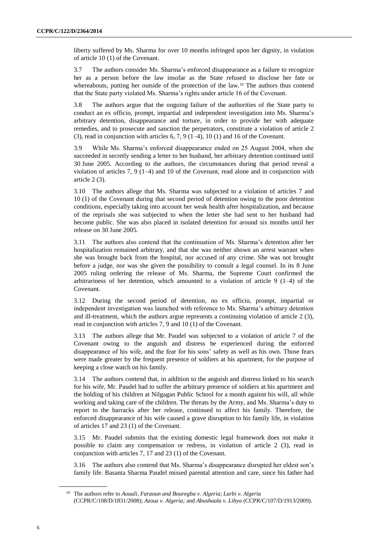liberty suffered by Ms. Sharma for over 10 months infringed upon her dignity, in violation of article 10 (1) of the Covenant.

3.7 The authors consider Ms. Sharma's enforced disappearance as a failure to recognize her as a person before the law insofar as the State refused to disclose her fate or whereabouts, putting her outside of the protection of the law.<sup>10</sup> The authors thus contend that the State party violated Ms. Sharma's rights under article 16 of the Covenant.

3.8 The authors argue that the ongoing failure of the authorities of the State party to conduct an ex officio, prompt, impartial and independent investigation into Ms. Sharma's arbitrary detention, disappearance and torture, in order to provide her with adequate remedies, and to prosecute and sanction the perpetrators, constitute a violation of article 2 (3), read in conjunction with articles  $6, 7, 9$  (1–4), 10 (1) and 16 of the Covenant.

3.9 While Ms. Sharma's enforced disappearance ended on 25 August 2004, when she succeeded in secretly sending a letter to her husband, her arbitrary detention continued until 30 June 2005. According to the authors, the circumstances during that period reveal a violation of articles 7, 9 (1–4) and 10 of the Covenant, read alone and in conjunction with article 2 (3).

3.10 The authors allege that Ms. Sharma was subjected to a violation of articles 7 and 10 (1) of the Covenant during that second period of detention owing to the poor detention conditions, especially taking into account her weak health after hospitalization, and because of the reprisals she was subjected to when the letter she had sent to her husband had become public. She was also placed in isolated detention for around six months until her release on 30 June 2005.

3.11 The authors also contend that the continuation of Ms. Sharma's detention after her hospitalization remained arbitrary, and that she was neither shown an arrest warrant when she was brought back from the hospital, nor accused of any crime. She was not brought before a judge, nor was she given the possibility to consult a legal counsel. In its 8 June 2005 ruling ordering the release of Ms. Sharma, the Supreme Court confirmed the arbitrariness of her detention, which amounted to a violation of article 9 (1–4) of the Covenant.

3.12 During the second period of detention, no ex officio, prompt, impartial or independent investigation was launched with reference to Ms. Sharma's arbitrary detention and ill-treatment, which the authors argue represents a continuing violation of article 2 (3), read in conjunction with articles 7, 9 and 10 (1) of the Covenant.

3.13 The authors allege that Mr. Paudel was subjected to a violation of article 7 of the Covenant owing to the anguish and distress he experienced during the enforced disappearance of his wife, and the fear for his sons' safety as well as his own. Those fears were made greater by the frequent presence of soldiers at his apartment, for the purpose of keeping a close watch on his family.

3.14 The authors contend that, in addition to the anguish and distress linked to his search for his wife, Mr. Paudel had to suffer the arbitrary presence of soldiers at his apartment and the holding of his children at Nilgagan Public School for a month against his will, all while working and taking care of the children. The threats by the Army, and Ms. Sharma's duty to report to the barracks after her release, continued to affect his family. Therefore, the enforced disappearance of his wife caused a grave disruption to his family life, in violation of articles 17 and 23 (1) of the Covenant.

3.15 Mr. Paudel submits that the existing domestic legal framework does not make it possible to claim any compensation or redress, in violation of article 2 (3), read in conjunction with articles 7, 17 and 23 (1) of the Covenant.

3.16 The authors also contend that Ms. Sharma's disappearance disrupted her eldest son's family life. Basanta Sharma Paudel missed parental attention and care, since his father had

<sup>10</sup> The authors refer to *Aouali, Faraoun and Bouregba v. Algeria*; *Larbi v. Algeria*  (CCPR/C/108/D/1831/2008); *Azouz v. Algeria;* and *Abushaala v. Libya* (CCPR/C/107/D/1913/2009).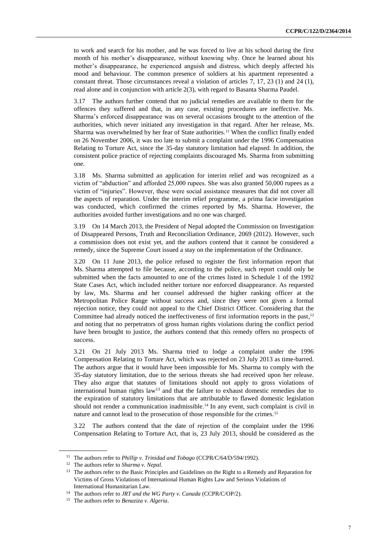to work and search for his mother, and he was forced to live at his school during the first month of his mother's disappearance, without knowing why. Once he learned about his mother's disappearance, he experienced anguish and distress, which deeply affected his mood and behaviour. The common presence of soldiers at his apartment represented a constant threat. Those circumstances reveal a violation of articles 7, 17, 23 (1) and 24 (1), read alone and in conjunction with article 2(3), with regard to Basanta Sharma Paudel.

3.17 The authors further contend that no judicial remedies are available to them for the offences they suffered and that, in any case, existing procedures are ineffective. Ms. Sharma's enforced disappearance was on several occasions brought to the attention of the authorities, which never initiated any investigation in that regard. After her release, Ms. Sharma was overwhelmed by her fear of State authorities.<sup>11</sup> When the conflict finally ended on 26 November 2006, it was too late to submit a complaint under the 1996 Compensation Relating to Torture Act, since the 35-day statutory limitation had elapsed. In addition, the consistent police practice of rejecting complaints discouraged Ms. Sharma from submitting one.

3.18 Ms. Sharma submitted an application for interim relief and was recognized as a victim of "abduction" and afforded 25,000 rupees. She was also granted 50,000 rupees as a victim of "injuries". However, these were social assistance measures that did not cover all the aspects of reparation. Under the interim relief programme, a prima facie investigation was conducted, which confirmed the crimes reported by Ms. Sharma. However, the authorities avoided further investigations and no one was charged.

3.19 On 14 March 2013, the President of Nepal adopted the Commission on Investigation of Disappeared Persons, Truth and Reconciliation Ordinance, 2069 (2012). However, such a commission does not exist yet, and the authors contend that it cannot be considered a remedy, since the Supreme Court issued a stay on the implementation of the Ordinance.

3.20 On 11 June 2013, the police refused to register the first information report that Ms. Sharma attempted to file because, according to the police, such report could only be submitted when the facts amounted to one of the crimes listed in Schedule 1 of the 1992 State Cases Act, which included neither torture nor enforced disappearance. As requested by law, Ms. Sharma and her counsel addressed the higher ranking officer at the Metropolitan Police Range without success and, since they were not given a formal rejection notice, they could not appeal to the Chief District Officer. Considering that the Committee had already noticed the ineffectiveness of first information reports in the past,<sup>12</sup> and noting that no perpetrators of gross human rights violations during the conflict period have been brought to justice, the authors contend that this remedy offers no prospects of success.

3.21 On 21 July 2013 Ms. Sharma tried to lodge a complaint under the 1996 Compensation Relating to Torture Act, which was rejected on 23 July 2013 as time-barred. The authors argue that it would have been impossible for Ms. Sharma to comply with the 35-day statutory limitation, due to the serious threats she had received upon her release. They also argue that statutes of limitations should not apply to gross violations of international human rights law<sup>13</sup> and that the failure to exhaust domestic remedies due to the expiration of statutory limitations that are attributable to flawed domestic legislation should not render a communication inadmissible.<sup>14</sup> In any event, such complaint is civil in nature and cannot lead to the prosecution of those responsible for the crimes.<sup>15</sup>

3.22 The authors contend that the date of rejection of the complaint under the 1996 Compensation Relating to Torture Act, that is, 23 July 2013, should be considered as the

<sup>11</sup> The authors refer to *Phillip v. Trinidad and Tobago* (CCPR/C/64/D/594/1992).

<sup>12</sup> The authors refer to *Sharma v. Nepal*.

<sup>&</sup>lt;sup>13</sup> The authors refer to the Basic Principles and Guidelines on the Right to a Remedy and Reparation for Victims of Gross Violations of International Human Rights Law and Serious Violations of International Humanitarian Law.

<sup>14</sup> The authors refer to *JRT and the WG Party v. Canada* (CCPR/C/OP/2).

<sup>15</sup> The authors refer to *Benaziza v. Algeria*.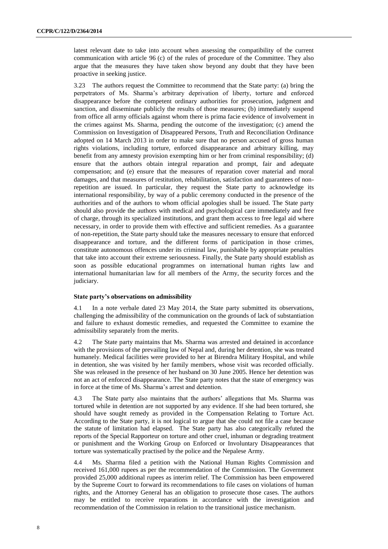latest relevant date to take into account when assessing the compatibility of the current communication with article 96 (c) of the rules of procedure of the Committee. They also argue that the measures they have taken show beyond any doubt that they have been proactive in seeking justice.

3.23 The authors request the Committee to recommend that the State party: (a) bring the perpetrators of Ms. Sharma's arbitrary deprivation of liberty, torture and enforced disappearance before the competent ordinary authorities for prosecution, judgment and sanction, and disseminate publicly the results of those measures; (b) immediately suspend from office all army officials against whom there is prima facie evidence of involvement in the crimes against Ms. Sharma, pending the outcome of the investigation; (c) amend the Commission on Investigation of Disappeared Persons, Truth and Reconciliation Ordinance adopted on 14 March 2013 in order to make sure that no person accused of gross human rights violations, including torture, enforced disappearance and arbitrary killing, may benefit from any amnesty provision exempting him or her from criminal responsibility; (d) ensure that the authors obtain integral reparation and prompt, fair and adequate compensation; and (e) ensure that the measures of reparation cover material and moral damages, and that measures of restitution, rehabilitation, satisfaction and guarantees of nonrepetition are issued. In particular, they request the State party to acknowledge its international responsibility, by way of a public ceremony conducted in the presence of the authorities and of the authors to whom official apologies shall be issued. The State party should also provide the authors with medical and psychological care immediately and free of charge, through its specialized institutions, and grant them access to free legal aid where necessary, in order to provide them with effective and sufficient remedies. As a guarantee of non-repetition, the State party should take the measures necessary to ensure that enforced disappearance and torture, and the different forms of participation in those crimes, constitute autonomous offences under its criminal law, punishable by appropriate penalties that take into account their extreme seriousness. Finally, the State party should establish as soon as possible educational programmes on international human rights law and international humanitarian law for all members of the Army, the security forces and the judiciary.

#### **State party's observations on admissibility**

4.1 In a note verbale dated 23 May 2014, the State party submitted its observations, challenging the admissibility of the communication on the grounds of lack of substantiation and failure to exhaust domestic remedies, and requested the Committee to examine the admissibility separately from the merits.

4.2 The State party maintains that Ms. Sharma was arrested and detained in accordance with the provisions of the prevailing law of Nepal and, during her detention, she was treated humanely. Medical facilities were provided to her at Birendra Military Hospital, and while in detention, she was visited by her family members, whose visit was recorded officially. She was released in the presence of her husband on 30 June 2005. Hence her detention was not an act of enforced disappearance. The State party notes that the state of emergency was in force at the time of Ms. Sharma's arrest and detention.

4.3 The State party also maintains that the authors' allegations that Ms. Sharma was tortured while in detention are not supported by any evidence. If she had been tortured, she should have sought remedy as provided in the Compensation Relating to Torture Act. According to the State party, it is not logical to argue that she could not file a case because the statute of limitation had elapsed. The State party has also categorically refuted the reports of the Special Rapporteur on torture and other cruel, inhuman or degrading treatment or punishment and the Working Group on Enforced or Involuntary Disappearances that torture was systematically practised by the police and the Nepalese Army.

4.4 Ms. Sharma filed a petition with the National Human Rights Commission and received 161,000 rupees as per the recommendation of the Commission. The Government provided 25,000 additional rupees as interim relief. The Commission has been empowered by the Supreme Court to forward its recommendations to file cases on violations of human rights, and the Attorney General has an obligation to prosecute those cases. The authors may be entitled to receive reparations in accordance with the investigation and recommendation of the Commission in relation to the transitional justice mechanism.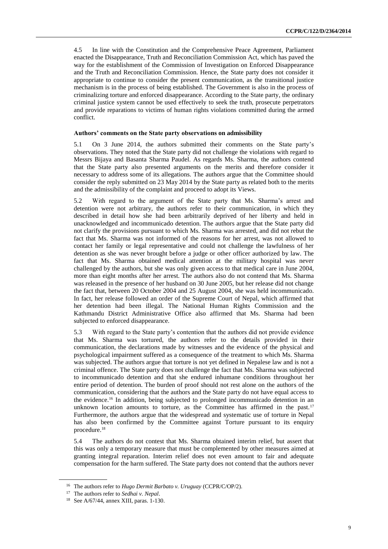4.5 In line with the Constitution and the Comprehensive Peace Agreement, Parliament enacted the Disappearance, Truth and Reconciliation Commission Act, which has paved the way for the establishment of the Commission of Investigation on Enforced Disappearance and the Truth and Reconciliation Commission. Hence, the State party does not consider it appropriate to continue to consider the present communication, as the transitional justice mechanism is in the process of being established. The Government is also in the process of criminalizing torture and enforced disappearance. According to the State party, the ordinary criminal justice system cannot be used effectively to seek the truth, prosecute perpetrators and provide reparations to victims of human rights violations committed during the armed conflict.

#### **Authors' comments on the State party observations on admissibility**

5.1 On 3 June 2014, the authors submitted their comments on the State party's observations. They noted that the State party did not challenge the violations with regard to Messrs Bijaya and Basanta Sharma Paudel. As regards Ms. Sharma, the authors contend that the State party also presented arguments on the merits and therefore consider it necessary to address some of its allegations. The authors argue that the Committee should consider the reply submitted on 23 May 2014 by the State party as related both to the merits and the admissibility of the complaint and proceed to adopt its Views.

5.2 With regard to the argument of the State party that Ms. Sharma's arrest and detention were not arbitrary, the authors refer to their communication, in which they described in detail how she had been arbitrarily deprived of her liberty and held in unacknowledged and incommunicado detention. The authors argue that the State party did not clarify the provisions pursuant to which Ms. Sharma was arrested, and did not rebut the fact that Ms. Sharma was not informed of the reasons for her arrest, was not allowed to contact her family or legal representative and could not challenge the lawfulness of her detention as she was never brought before a judge or other officer authorized by law. The fact that Ms. Sharma obtained medical attention at the military hospital was never challenged by the authors, but she was only given access to that medical care in June 2004, more than eight months after her arrest. The authors also do not contend that Ms. Sharma was released in the presence of her husband on 30 June 2005, but her release did not change the fact that, between 20 October 2004 and 25 August 2004, she was held incommunicado. In fact, her release followed an order of the Supreme Court of Nepal, which affirmed that her detention had been illegal. The National Human Rights Commission and the Kathmandu District Administrative Office also affirmed that Ms. Sharma had been subjected to enforced disappearance.

5.3 With regard to the State party's contention that the authors did not provide evidence that Ms. Sharma was tortured, the authors refer to the details provided in their communication, the declarations made by witnesses and the evidence of the physical and psychological impairment suffered as a consequence of the treatment to which Ms. Sharma was subjected. The authors argue that torture is not yet defined in Nepalese law and is not a criminal offence. The State party does not challenge the fact that Ms. Sharma was subjected to incommunicado detention and that she endured inhumane conditions throughout her entire period of detention. The burden of proof should not rest alone on the authors of the communication, considering that the authors and the State party do not have equal access to the evidence.<sup>16</sup> In addition, being subjected to prolonged incommunicado detention in an unknown location amounts to torture, as the Committee has affirmed in the past.<sup>17</sup> Furthermore, the authors argue that the widespread and systematic use of torture in Nepal has also been confirmed by the Committee against Torture pursuant to its enquiry procedure.<sup>18</sup>

5.4 The authors do not contest that Ms. Sharma obtained interim relief, but assert that this was only a temporary measure that must be complemented by other measures aimed at granting integral reparation. Interim relief does not even amount to fair and adequate compensation for the harm suffered. The State party does not contend that the authors never

<sup>16</sup> The authors refer to *Hugo Dermit Barbato v. Uruguay* (CCPR/C/OP/2).

<sup>17</sup> The authors refer to *Sedhai v. Nepal*.

<sup>18</sup> See A/67/44, annex XIII, paras. 1-130.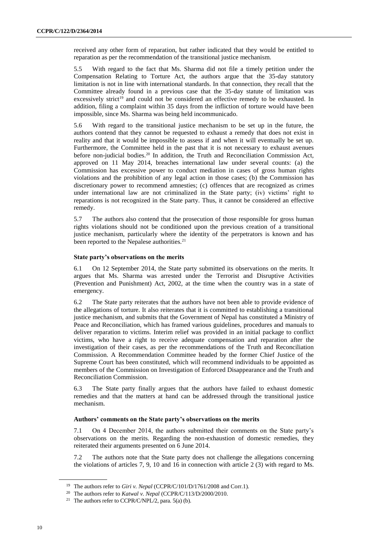received any other form of reparation, but rather indicated that they would be entitled to reparation as per the recommendation of the transitional justice mechanism.

5.5 With regard to the fact that Ms. Sharma did not file a timely petition under the Compensation Relating to Torture Act, the authors argue that the 35-day statutory limitation is not in line with international standards. In that connection, they recall that the Committee already found in a previous case that the 35-day statute of limitation was excessively strict<sup>19</sup> and could not be considered an effective remedy to be exhausted. In addition, filing a complaint within 35 days from the infliction of torture would have been impossible, since Ms. Sharma was being held incommunicado.

5.6 With regard to the transitional justice mechanism to be set up in the future, the authors contend that they cannot be requested to exhaust a remedy that does not exist in reality and that it would be impossible to assess if and when it will eventually be set up. Furthermore, the Committee held in the past that it is not necessary to exhaust avenues before non-judicial bodies.<sup>20</sup> In addition, the Truth and Reconciliation Commission Act, approved on 11 May 2014, breaches international law under several counts: (a) the Commission has excessive power to conduct mediation in cases of gross human rights violations and the prohibition of any legal action in those cases; (b) the Commission has discretionary power to recommend amnesties; (c) offences that are recognized as crimes under international law are not criminalized in the State party; (iv) victims' right to reparations is not recognized in the State party. Thus, it cannot be considered an effective remedy.

5.7 The authors also contend that the prosecution of those responsible for gross human rights violations should not be conditioned upon the previous creation of a transitional justice mechanism, particularly where the identity of the perpetrators is known and has been reported to the Nepalese authorities.<sup>21</sup>

#### **State party's observations on the merits**

6.1 On 12 September 2014, the State party submitted its observations on the merits. It argues that Ms. Sharma was arrested under the Terrorist and Disruptive Activities (Prevention and Punishment) Act, 2002, at the time when the country was in a state of emergency.

6.2 The State party reiterates that the authors have not been able to provide evidence of the allegations of torture. It also reiterates that it is committed to establishing a transitional justice mechanism, and submits that the Government of Nepal has constituted a Ministry of Peace and Reconciliation, which has framed various guidelines, procedures and manuals to deliver reparation to victims. Interim relief was provided in an initial package to conflict victims, who have a right to receive adequate compensation and reparation after the investigation of their cases, as per the recommendations of the Truth and Reconciliation Commission. A Recommendation Committee headed by the former Chief Justice of the Supreme Court has been constituted, which will recommend individuals to be appointed as members of the Commission on Investigation of Enforced Disappearance and the Truth and Reconciliation Commission.

6.3 The State party finally argues that the authors have failed to exhaust domestic remedies and that the matters at hand can be addressed through the transitional justice mechanism.

#### **Authors' comments on the State party's observations on the merits**

7.1 On 4 December 2014, the authors submitted their comments on the State party's observations on the merits. Regarding the non-exhaustion of domestic remedies, they reiterated their arguments presented on 6 June 2014.

7.2 The authors note that the State party does not challenge the allegations concerning the violations of articles 7, 9, 10 and 16 in connection with article 2 (3) with regard to Ms.

<sup>&</sup>lt;sup>19</sup> The authors refer to *Giri v. Nepal* (CCPR/C/101/D/1761/2008 and Corr.1).

<sup>20</sup> The authors refer to *Katwal v. Nepal* (CCPR/C/113/D/2000/2010.

<sup>&</sup>lt;sup>21</sup> The authors refer to CCPR/C/NPL/2, para.  $5(a)$  (b).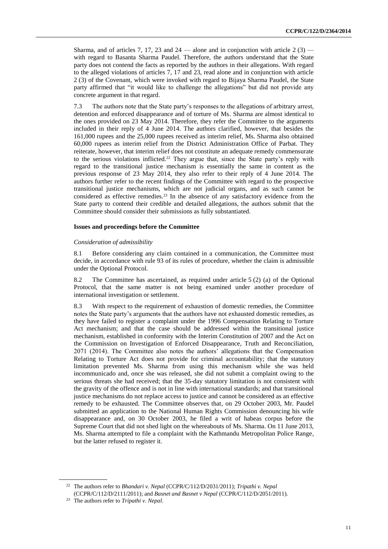Sharma, and of articles 7, 17, 23 and  $24$  — alone and in conjunction with article 2 (3) with regard to Basanta Sharma Paudel. Therefore, the authors understand that the State party does not contend the facts as reported by the authors in their allegations. With regard to the alleged violations of articles 7, 17 and 23, read alone and in conjunction with article 2 (3) of the Covenant, which were invoked with regard to Bijaya Sharma Paudel, the State party affirmed that "it would like to challenge the allegations" but did not provide any concrete argument in that regard.

7.3 The authors note that the State party's responses to the allegations of arbitrary arrest, detention and enforced disappearance and of torture of Ms. Sharma are almost identical to the ones provided on 23 May 2014. Therefore, they refer the Committee to the arguments included in their reply of 4 June 2014. The authors clarified, however, that besides the 161,000 rupees and the 25,000 rupees received as interim relief, Ms. Sharma also obtained 60,000 rupees as interim relief from the District Administration Office of Parbat. They reiterate, however, that interim relief does not constitute an adequate remedy commensurate to the serious violations inflicted.<sup>22</sup> They argue that, since the State party's reply with regard to the transitional justice mechanism is essentially the same in content as the previous response of 23 May 2014, they also refer to their reply of 4 June 2014. The authors further refer to the recent findings of the Committee with regard to the prospective transitional justice mechanisms, which are not judicial organs, and as such cannot be considered as effective remedies.<sup>23</sup> In the absence of any satisfactory evidence from the State party to contend their credible and detailed allegations, the authors submit that the Committee should consider their submissions as fully substantiated.

#### **Issues and proceedings before the Committee**

#### *Consideration of admissibility*

8.1 Before considering any claim contained in a communication, the Committee must decide, in accordance with rule 93 of its rules of procedure, whether the claim is admissible under the Optional Protocol.

8.2 The Committee has ascertained, as required under article 5 (2) (a) of the Optional Protocol, that the same matter is not being examined under another procedure of international investigation or settlement.

8.3 With respect to the requirement of exhaustion of domestic remedies, the Committee notes the State party's arguments that the authors have not exhausted domestic remedies, as they have failed to register a complaint under the 1996 Compensation Relating to Torture Act mechanism; and that the case should be addressed within the transitional justice mechanism, established in conformity with the Interim Constitution of 2007 and the Act on the Commission on Investigation of Enforced Disappearance, Truth and Reconciliation, 2071 (2014). The Committee also notes the authors' allegations that the Compensation Relating to Torture Act does not provide for criminal accountability; that the statutory limitation prevented Ms. Sharma from using this mechanism while she was held incommunicado and, once she was released, she did not submit a complaint owing to the serious threats she had received; that the 35-day statutory limitation is not consistent with the gravity of the offence and is not in line with international standards; and that transitional justice mechanisms do not replace access to justice and cannot be considered as an effective remedy to be exhausted. The Committee observes that, on 29 October 2003, Mr. Paudel submitted an application to the National Human Rights Commission denouncing his wife disappearance and, on 30 October 2003, he filed a writ of habeas corpus before the Supreme Court that did not shed light on the whereabouts of Ms. Sharma. On 11 June 2013, Ms. Sharma attempted to file a complaint with the Kathmandu Metropolitan Police Range, but the latter refused to register it.

<sup>&</sup>lt;sup>22</sup> The authors refer to *Bhandari v. Nepal* (CCPR/C/112/D/2031/2011); *Tripathi v. Nepal* (CCPR/C/112/D/2111/2011); and *Basnet and Basnet v Nepal* (CCPR/C/112/D/2051/2011).

<sup>23</sup> The authors refer to *Tripathi v. Nepal*.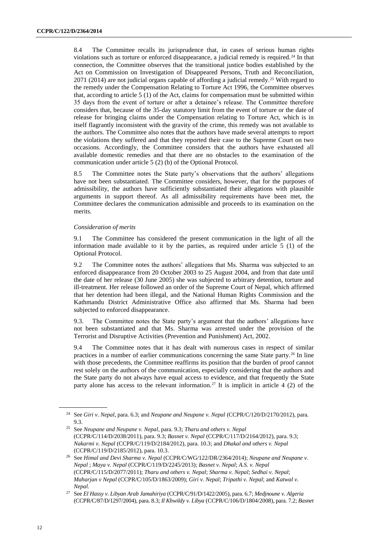8.4 The Committee recalls its jurisprudence that, in cases of serious human rights violations such as torture or enforced disappearance, a judicial remedy is required.<sup>24</sup> In that connection, the Committee observes that the transitional justice bodies established by the Act on Commission on Investigation of Disappeared Persons, Truth and Reconciliation,  $2071$  (2014) are not judicial organs capable of affording a judicial remedy.<sup>25</sup> With regard to the remedy under the Compensation Relating to Torture Act 1996, the Committee observes that, according to article 5 (1) of the Act, claims for compensation must be submitted within 35 days from the event of torture or after a detainee's release. The Committee therefore considers that, because of the 35-day statutory limit from the event of torture or the date of release for bringing claims under the Compensation relating to Torture Act, which is in itself flagrantly inconsistent with the gravity of the crime, this remedy was not available to the authors. The Committee also notes that the authors have made several attempts to report the violations they suffered and that they reported their case to the Supreme Court on two occasions. Accordingly, the Committee considers that the authors have exhausted all available domestic remedies and that there are no obstacles to the examination of the communication under article 5 (2) (b) of the Optional Protocol.

8.5 The Committee notes the State party's observations that the authors' allegations have not been substantiated. The Committee considers, however, that for the purposes of admissibility, the authors have sufficiently substantiated their allegations with plausible arguments in support thereof. As all admissibility requirements have been met, the Committee declares the communication admissible and proceeds to its examination on the merits.

#### *Consideration of merits*

9.1 The Committee has considered the present communication in the light of all the information made available to it by the parties, as required under article 5 (1) of the Optional Protocol.

9.2 The Committee notes the authors' allegations that Ms. Sharma was subjected to an enforced disappearance from 20 October 2003 to 25 August 2004, and from that date until the date of her release (30 June 2005) she was subjected to arbitrary detention, torture and ill-treatment. Her release followed an order of the Supreme Court of Nepal, which affirmed that her detention had been illegal, and the National Human Rights Commission and the Kathmandu District Administrative Office also affirmed that Ms. Sharma had been subjected to enforced disappearance.

9.3. The Committee notes the State party's argument that the authors' allegations have not been substantiated and that Ms. Sharma was arrested under the provision of the Terrorist and Disruptive Activities (Prevention and Punishment) Act, 2002.

9.4 The Committee notes that it has dealt with numerous cases in respect of similar practices in a number of earlier communications concerning the same State party.<sup>26</sup> In line with those precedents, the Committee reaffirms its position that the burden of proof cannot rest solely on the authors of the communication, especially considering that the authors and the State party do not always have equal access to evidence, and that frequently the State party alone has access to the relevant information.<sup>27</sup> It is implicit in article 4  $(2)$  of the

<sup>24</sup> See *Giri v. Nepal*, para. 6.3; and *Neupane and Neupane v. Nepal* (CCPR/C/120/D/2170/2012), para. 9.3.

<sup>25</sup> See *Neupane and Neupane v. Nepal*, para. 9.3; *Tharu and others v. Nepal* (CCPR/C/114/D/2038/2011), para. 9.3; *Basnet v. Nepal* (CCPR/C/117/D/2164/2012), para. 9.3; *Nakarmi v. Nepal* (CCPR/C/119/D/2184/2012), para. 10.3; and *Dhakal and others v. Nepal* (CCPR/C/119/D/2185/2012), para. 10.3.

<sup>26</sup> See *Himal and Devi Sharma v. Nepal* (CCPR/C/WG/122/DR/2364/2014); *Neupane and Neupane v. Nepal* ; *Maya v. Nepal* (CCPR/C/119/D/2245/2013); *Basnet v. Nepal*; *A.S. v. Nepal* (CCPR/C/115/D/2077/2011); *Tharu and others v. Nepal*; *Sharma v. Nepal*; *Sedhai v. Nepal*; *Maharjan v Nepal* (CCPR/C/105/D/1863/2009); *Giri v. Nepal*; *Tripathi v. Nepal*; and *Katwal v. Nepal*.

<sup>27</sup> See *El Hassy v. Libyan Arab Jamahiriya* (CCPR/C/91/D/1422/2005), para. 6.7; *Medjnoune v. Algeria* (CCPR/C/87/D/1297/2004), para. 8.3; *Il Khwildy v. Libya* (CCPR/C/106/D/1804/2008), para. 7.2; *Basnet*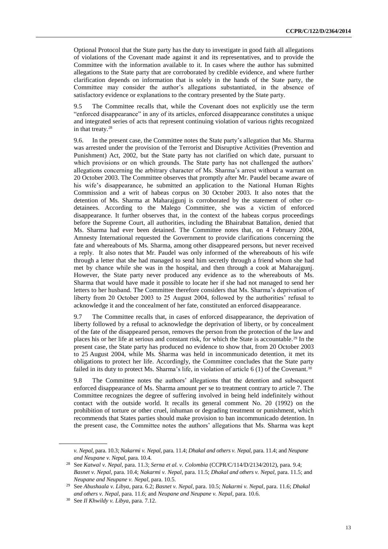Optional Protocol that the State party has the duty to investigate in good faith all allegations of violations of the Covenant made against it and its representatives, and to provide the Committee with the information available to it. In cases where the author has submitted allegations to the State party that are corroborated by credible evidence, and where further clarification depends on information that is solely in the hands of the State party, the Committee may consider the author's allegations substantiated, in the absence of satisfactory evidence or explanations to the contrary presented by the State party.

9.5 The Committee recalls that, while the Covenant does not explicitly use the term "enforced disappearance" in any of its articles, enforced disappearance constitutes a unique and integrated series of acts that represent continuing violation of various rights recognized in that treaty.<sup>28</sup>

9.6. In the present case, the Committee notes the State party's allegation that Ms. Sharma was arrested under the provision of the Terrorist and Disruptive Activities (Prevention and Punishment) Act, 2002, but the State party has not clarified on which date, pursuant to which provisions or on which grounds. The State party has not challenged the authors' allegations concerning the arbitrary character of Ms. Sharma's arrest without a warrant on 20 October 2003. The Committee observes that promptly after Mr. Paudel became aware of his wife's disappearance, he submitted an application to the National Human Rights Commission and a writ of habeas corpus on 30 October 2003. It also notes that the detention of Ms. Sharma at Maharajgunj is corroborated by the statement of other codetainees. According to the Malego Committee, she was a victim of enforced disappearance. It further observes that, in the context of the habeas corpus proceedings before the Supreme Court, all authorities, including the Bhairabnat Battalion, denied that Ms. Sharma had ever been detained. The Committee notes that, on 4 February 2004, Amnesty International requested the Government to provide clarifications concerning the fate and whereabouts of Ms. Sharma, among other disappeared persons, but never received a reply. It also notes that Mr. Paudel was only informed of the whereabouts of his wife through a letter that she had managed to send him secretly through a friend whom she had met by chance while she was in the hospital, and then through a cook at Maharajgunj. However, the State party never produced any evidence as to the whereabouts of Ms. Sharma that would have made it possible to locate her if she had not managed to send her letters to her husband. The Committee therefore considers that Ms. Sharma's deprivation of liberty from 20 October 2003 to 25 August 2004, followed by the authorities' refusal to acknowledge it and the concealment of her fate, constituted an enforced disappearance.

9.7 The Committee recalls that, in cases of enforced disappearance, the deprivation of liberty followed by a refusal to acknowledge the deprivation of liberty, or by concealment of the fate of the disappeared person, removes the person from the protection of the law and places his or her life at serious and constant risk, for which the State is accountable.<sup>29</sup> In the present case, the State party has produced no evidence to show that, from 20 October 2003 to 25 August 2004, while Ms. Sharma was held in incommunicado detention, it met its obligations to protect her life. Accordingly, the Committee concludes that the State party failed in its duty to protect Ms. Sharma's life, in violation of article 6 (1) of the Covenant.<sup>30</sup>

9.8 The Committee notes the authors' allegations that the detention and subsequent enforced disappearance of Ms. Sharma amount per se to treatment contrary to article 7. The Committee recognizes the degree of suffering involved in being held indefinitely without contact with the outside world. It recalls its general comment No. 20 (1992) on the prohibition of torture or other cruel, inhuman or degrading treatment or punishment, which recommends that States parties should make provision to ban incommunicado detention. In the present case, the Committee notes the authors' allegations that Ms. Sharma was kept

*v. Nepal*, para. 10.3; *Nakarmi v. Nepal*, para. 11.4; *Dhakal and others v. Nepal*, para. 11.4; and *Neupane and Neupane v. Nepal*, para. 10.4.

<sup>28</sup> See *Katwal v. Nepal*, para. 11.3; *Serna et al. v. Colombia* (CCPR/C/114/D/2134/2012), para. 9.4; *Basnet v. Nepal*, para. 10.4; *Nakarmi v. Nepal*, para. 11.5; *Dhakal and others v. Nepal*, para. 11.5; and *Neupane and Neupane v. Nepal*, para. 10.5.

<sup>29</sup> See *Abushaala v. Libya*, para. 6.2; *Basnet v. Nepal*, para. 10.5; *Nakarmi v. Nepal*, para. 11.6; *Dhakal and others v. Nepal*, para. 11.6; and *Neupane and Neupane v. Nepal*, para. 10.6.

<sup>30</sup> See *Il Khwildy v. Libya*, para. 7.12.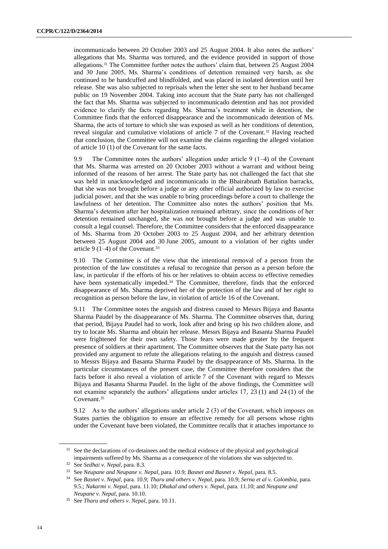incommunicado between 20 October 2003 and 25 August 2004. It also notes the authors' allegations that Ms. Sharma was tortured, and the evidence provided in support of those allegations.<sup>31</sup> The Committee further notes the authors' claim that, between 25 August 2004 and 30 June 2005, Ms. Sharma's conditions of detention remained very harsh, as she continued to be handcuffed and blindfolded, and was placed in isolated detention until her release. She was also subjected to reprisals when the letter she sent to her husband became public on 19 November 2004. Taking into account that the State party has not challenged the fact that Ms. Sharma was subjected to incommunicado detention and has not provided evidence to clarify the facts regarding Ms. Sharma's treatment while in detention, the Committee finds that the enforced disappearance and the incommunicado detention of Ms. Sharma, the acts of torture to which she was exposed as well as her conditions of detention, reveal singular and cumulative violations of article 7 of the Covenant.<sup>32</sup> Having reached that conclusion, the Committee will not examine the claims regarding the alleged violation of article 10 (1) of the Covenant for the same facts.

9.9 The Committee notes the authors' allegation under article  $9(1-4)$  of the Covenant that Ms. Sharma was arrested on 20 October 2003 without a warrant and without being informed of the reasons of her arrest. The State party has not challenged the fact that she was held in unacknowledged and incommunicado in the Bhairabnath Battalion barracks, that she was not brought before a judge or any other official authorized by law to exercise judicial power, and that she was unable to bring proceedings before a court to challenge the lawfulness of her detention. The Committee also notes the authors' position that Ms. Sharma's detention after her hospitalization remained arbitrary, since the conditions of her detention remained unchanged, she was not brought before a judge and was unable to consult a legal counsel. Therefore, the Committee considers that the enforced disappearance of Ms. Sharma from 20 October 2003 to 25 August 2004, and her arbitrary detention between 25 August 2004 and 30 June 2005, amount to a violation of her rights under article 9  $(1-4)$  of the Covenant.<sup>33</sup>

9.10 The Committee is of the view that the intentional removal of a person from the protection of the law constitutes a refusal to recognize that person as a person before the law, in particular if the efforts of his or her relatives to obtain access to effective remedies have been systematically impeded.<sup>34</sup> The Committee, therefore, finds that the enforced disappearance of Ms. Sharma deprived her of the protection of the law and of her right to recognition as person before the law, in violation of article 16 of the Covenant.

9.11 The Committee notes the anguish and distress caused to Messrs Bijaya and Basanta Sharma Paudel by the disappearance of Ms. Sharma. The Committee observes that, during that period, Bijaya Paudel had to work, look after and bring up his two children alone, and try to locate Ms. Sharma and obtain her release. Messrs Bijaya and Basanta Sharma Paudel were frightened for their own safety. Those fears were made greater by the frequent presence of soldiers at their apartment. The Committee observes that the State party has not provided any argument to refute the allegations relating to the anguish and distress caused to Messrs Bijaya and Basanta Sharma Paudel by the disappearance of Ms. Sharma. In the particular circumstances of the present case, the Committee therefore considers that the facts before it also reveal a violation of article 7 of the Covenant with regard to Messrs Bijaya and Basanta Sharma Paudel. In the light of the above findings, the Committee will not examine separately the authors' allegations under articles 17, 23 (1) and 24 (1) of the Covenant.<sup>35</sup>

9.12 As to the authors' allegations under article 2 (3) of the Covenant, which imposes on States parties the obligation to ensure an effective remedy for all persons whose rights under the Covenant have been violated, the Committee recalls that it attaches importance to

<sup>&</sup>lt;sup>31</sup> See the declarations of co-detainees and the medical evidence of the physical and psychological impairments suffered by Ms. Sharma as a consequence of the violations she was subjected to.

<sup>32</sup> See *Sedhai v. Nepal*, para. 8.3.

<sup>33</sup> See *Neupane and Neupane v. Nepal*, para. 10.9; *Basnet and Basnet v. Nepal*, para. 8.5.

<sup>34</sup> See *Basnet v. Nepal*, para. 10.9; *Tharu and others v. Nepal*, para. 10.9; *Serna et al v. Colombia*, para. 9.5.; *Nakarmi v. Nepal*, para. 11.10; *Dhakal and others v. Nepal*, para. 11.10; and *Neupane and Neupane v. Nepal*, para. 10.10.

<sup>35</sup> See *Tharu and others v. Nepal*, para. 10.11.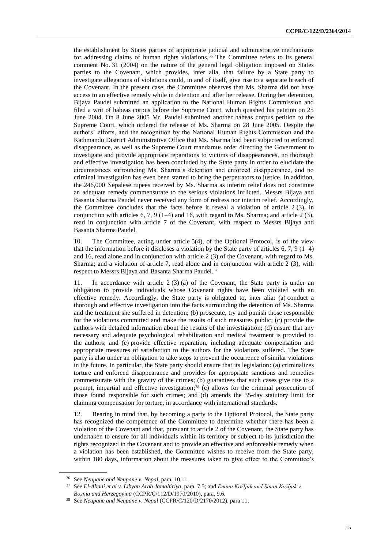the establishment by States parties of appropriate judicial and administrative mechanisms for addressing claims of human rights violations.<sup>36</sup> The Committee refers to its general comment No. 31 (2004) on the nature of the general legal obligation imposed on States parties to the Covenant, which provides, inter alia, that failure by a State party to investigate allegations of violations could, in and of itself, give rise to a separate breach of the Covenant. In the present case, the Committee observes that Ms. Sharma did not have access to an effective remedy while in detention and after her release. During her detention, Bijaya Paudel submitted an application to the National Human Rights Commission and filed a writ of habeas corpus before the Supreme Court, which quashed his petition on 25 June 2004. On 8 June 2005 Mr. Paudel submitted another habeas corpus petition to the Supreme Court, which ordered the release of Ms. Sharma on 28 June 2005. Despite the authors' efforts, and the recognition by the National Human Rights Commission and the Kathmandu District Administrative Office that Ms. Sharma had been subjected to enforced disappearance, as well as the Supreme Court mandamus order directing the Government to investigate and provide appropriate reparations to victims of disappearances, no thorough and effective investigation has been concluded by the State party in order to elucidate the circumstances surrounding Ms. Sharma's detention and enforced disappearance, and no criminal investigation has even been started to bring the perpetrators to justice. In addition, the 246,000 Nepalese rupees received by Ms. Sharma as interim relief does not constitute an adequate remedy commensurate to the serious violations inflicted. Messrs Bijaya and Basanta Sharma Paudel never received any form of redress nor interim relief. Accordingly, the Committee concludes that the facts before it reveal a violation of article 2 (3), in conjunction with articles  $6, 7, 9$  (1–4) and 16, with regard to Ms. Sharma; and article 2 (3), read in conjunction with article 7 of the Covenant, with respect to Messrs Bijaya and Basanta Sharma Paudel.

10. The Committee, acting under article 5(4), of the Optional Protocol, is of the view that the information before it discloses a violation by the State party of articles  $6, 7, 9$  (1–4) and 16, read alone and in conjunction with article 2 (3) of the Covenant, with regard to Ms. Sharma; and a violation of article 7, read alone and in conjunction with article 2 (3), with respect to Messrs Bijaya and Basanta Sharma Paudel.<sup>37</sup>

11. In accordance with article 2 (3) (a) of the Covenant, the State party is under an obligation to provide individuals whose Covenant rights have been violated with an effective remedy. Accordingly, the State party is obligated to, inter alia: (a) conduct a thorough and effective investigation into the facts surrounding the detention of Ms. Sharma and the treatment she suffered in detention; (b) prosecute, try and punish those responsible for the violations committed and make the results of such measures public; (c) provide the authors with detailed information about the results of the investigation; (d) ensure that any necessary and adequate psychological rehabilitation and medical treatment is provided to the authors; and (e) provide effective reparation, including adequate compensation and appropriate measures of satisfaction to the authors for the violations suffered. The State party is also under an obligation to take steps to prevent the occurrence of similar violations in the future. In particular, the State party should ensure that its legislation: (a) criminalizes torture and enforced disappearance and provides for appropriate sanctions and remedies commensurate with the gravity of the crimes; (b) guarantees that such cases give rise to a prompt, impartial and effective investigation; <sup>38</sup> (c) allows for the criminal prosecution of those found responsible for such crimes; and (d) amends the 35-day statutory limit for claiming compensation for torture, in accordance with international standards.

12. Bearing in mind that, by becoming a party to the Optional Protocol, the State party has recognized the competence of the Committee to determine whether there has been a violation of the Covenant and that, pursuant to article 2 of the Covenant, the State party has undertaken to ensure for all individuals within its territory or subject to its jurisdiction the rights recognized in the Covenant and to provide an effective and enforceable remedy when a violation has been established, the Committee wishes to receive from the State party, within 180 days, information about the measures taken to give effect to the Committee's

<sup>36</sup> See *Neupane and Neupane v. Nepal*, para. 10.11.

<sup>37</sup> See *El-Abani et al v. Libyan Arab Jamahiriya*, para. 7.5; and *Emina Kožljak and Sinan Kožljak v. Bosnia and Herzegovina* (CCPR/C/112/D/1970/2010), para. 9.6.

<sup>38</sup> See *Neupane and Neupane v. Nepal* (CCPR/C/120/D/2170/2012), para 11.